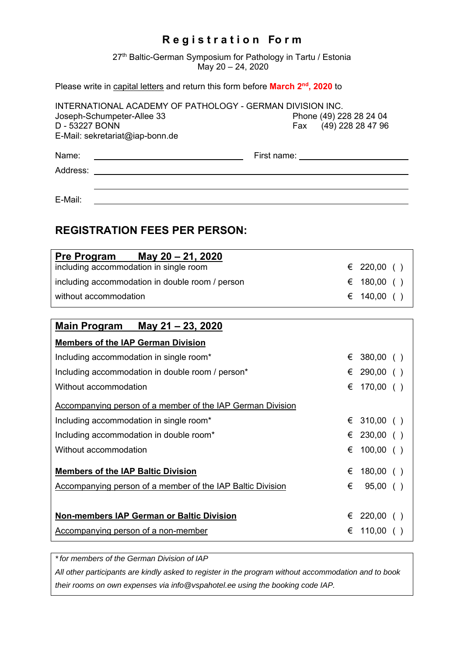## **R e g i s t r a t i o n Fo r m**

27<sup>th</sup> Baltic-German Symposium for Pathology in Tartu / Estonia May 20 – 24, 2020

## Please write in capital letters and return this form before March 2<sup>nd</sup>, 2020 to

| INTERNATIONAL ACADEMY OF PATHOLOGY - GERMAN DIVISION INC. |                         |  |
|-----------------------------------------------------------|-------------------------|--|
| Joseph-Schumpeter-Allee 33                                | Phone (49) 228 28 24 04 |  |
| D - 53227 BONN                                            | Fax (49) 228 28 47 96   |  |
| E-Mail: sekretariat@iap-bonn.de                           |                         |  |
| Name:                                                     | First name:             |  |
| Address:                                                  |                         |  |
|                                                           |                         |  |

E-Mail:

## **REGISTRATION FEES PER PERSON:**

| <b>Pre Program</b>                     | May 20 - 21, 2020                               |             |  |
|----------------------------------------|-------------------------------------------------|-------------|--|
| including accommodation in single room |                                                 | € 220,00 () |  |
|                                        | including accommodation in double room / person | € 180,00 () |  |
| without accommodation                  |                                                 | € 140,00 () |  |

| May 21 - 23, 2020<br>Main Program                          |   |             |  |
|------------------------------------------------------------|---|-------------|--|
| <b>Members of the IAP German Division</b>                  |   |             |  |
| Including accommodation in single room*                    |   | $380,00$ () |  |
| Including accommodation in double room / person*           | € | 290,00( )   |  |
| Without accommodation                                      | € | 170,00( )   |  |
| Accompanying person of a member of the IAP German Division |   |             |  |
| Including accommodation in single room*                    |   | € 310,00 () |  |
| Including accommodation in double room*                    | € | $230,00$ () |  |
| Without accommodation                                      | € | $100,00$ () |  |
| <b>Members of the IAP Baltic Division</b>                  | € | $180,00$ () |  |
| Accompanying person of a member of the IAP Baltic Division | € | $95,00$ ()  |  |
|                                                            |   |             |  |
| <b>Non-members IAP German or Baltic Division</b>           | € | 220,00( )   |  |
| Accompanying person of a non-member                        | € | $110,00$ (  |  |

*\*for members of the German Division of IAP* 

*All other participants are kindly asked to register in the program without accommodation and to book their rooms on own expenses via info@vspahotel.ee using the booking code IAP.*